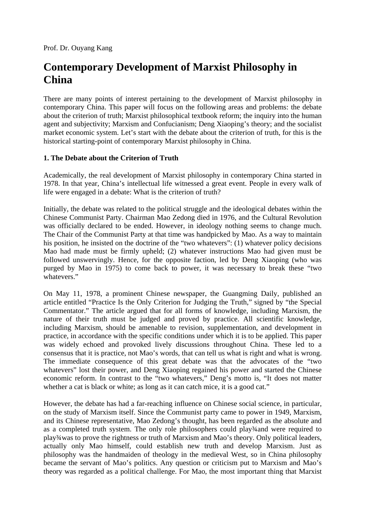# **Contemporary Development of Marxist Philosophy in China**

There are many points of interest pertaining to the development of Marxist philosophy in contemporary China. This paper will focus on the following areas and problems: the debate about the criterion of truth; Marxist philosophical textbook reform; the inquiry into the human agent and subjectivity; Marxism and Confucianism; Deng Xiaoping's theory; and the socialist market economic system. Let's start with the debate about the criterion of truth, for this is the historical starting-point of contemporary Marxist philosophy in China.

# **1. The Debate about the Criterion of Truth**

Academically, the real development of Marxist philosophy in contemporary China started in 1978. In that year, China's intellectual life witnessed a great event. People in every walk of life were engaged in a debate: What is the criterion of truth?

Initially, the debate was related to the political struggle and the ideological debates within the Chinese Communist Party. Chairman Mao Zedong died in 1976, and the Cultural Revolution was officially declared to be ended. However, in ideology nothing seems to change much. The Chair of the Communist Party at that time was handpicked by Mao. As a way to maintain his position, he insisted on the doctrine of the "two whatevers": (1) whatever policy decisions Mao had made must be firmly upheld; (2) whatever instructions Mao had given must be followed unswervingly. Hence, for the opposite faction, led by Deng Xiaoping (who was purged by Mao in 1975) to come back to power, it was necessary to break these "two whatevers."

On May 11, 1978, a prominent Chinese newspaper, the Guangming Daily, published an article entitled "Practice Is the Only Criterion for Judging the Truth," signed by "the Special Commentator." The article argued that for all forms of knowledge, including Marxism, the nature of their truth must be judged and proved by practice. All scientific knowledge, including Marxism, should be amenable to revision, supplementation, and development in practice, in accordance with the specific conditions under which it is to be applied. This paper was widely echoed and provoked lively discussions throughout China. These led to a consensus that it is practice, not Mao's words, that can tell us what is right and what is wrong. The immediate consequence of this great debate was that the advocates of the "two whatevers" lost their power, and Deng Xiaoping regained his power and started the Chinese economic reform. In contrast to the "two whatevers," Deng's motto is, "It does not matter whether a cat is black or white; as long as it can catch mice, it is a good cat."

However, the debate has had a far-reaching influence on Chinese social science, in particular, on the study of Marxism itself. Since the Communist party came to power in 1949, Marxism, and its Chinese representative, Mao Zedong's thought, has been regarded as the absolute and as a completed truth system. The only role philosophers could play¾and were required to play¾was to prove the rightness or truth of Marxism and Mao's theory. Only political leaders, actually only Mao himself, could establish new truth and develop Marxism. Just as philosophy was the handmaiden of theology in the medieval West, so in China philosophy became the servant of Mao's politics. Any question or criticism put to Marxism and Mao's theory was regarded as a political challenge. For Mao, the most important thing that Marxist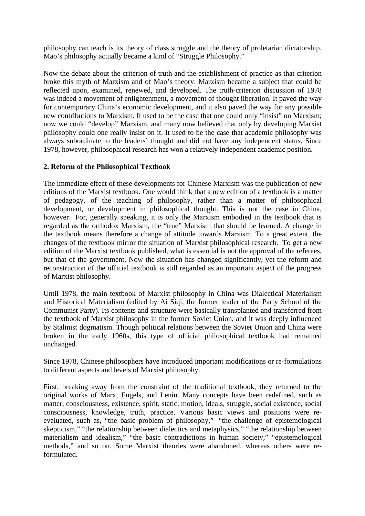philosophy can teach is its theory of class struggle and the theory of proletarian dictatorship. Mao's philosophy actually became a kind of "Struggle Philosophy."

Now the debate about the criterion of truth and the establishment of practice as that criterion broke this myth of Marxism and of Mao's theory. Marxism became a subject that could be reflected upon, examined, renewed, and developed. The truth-criterion discussion of 1978 was indeed a movement of enlightenment, a movement of thought liberation. It paved the way for contemporary China's economic development, and it also paved the way for any possible new contributions to Marxism. It used to be the case that one could only "insist" on Marxism; now we could "develop" Marxism, and many now believed that only by developing Marxist philosophy could one really insist on it. It used to be the case that academic philosophy was always subordinate to the leaders' thought and did not have any independent status. Since 1978, however, philosophical research has won a relatively independent academic position.

# **2. Reform of the Philosophical Textbook**

The immediate effect of these developments for Chinese Marxism was the publication of new editions of the Marxist textbook. One would think that a new edition of a textbook is a matter of pedagogy, of the teaching of philosophy, rather than a matter of philosophical development, or development in philosophical thought. This is not the case in China, however. For, generally speaking, it is only the Marxism embodied in the textbook that is regarded as the orthodox Marxism, the "true" Marxism that should be learned. A change in the textbook means therefore a change of attitude towards Marxism. To a great extent, the changes of the textbook mirror the situation of Marxist philosophical research. To get a new edition of the Marxist textbook published, what is essential is not the approval of the referees, but that of the government. Now the situation has changed significantly, yet the reform and reconstruction of the official textbook is still regarded as an important aspect of the progress of Marxist philosophy.

Until 1978, the main textbook of Marxist philosophy in China was Dialectical Materialism and Historical Materialism (edited by Ai Siqi, the former leader of the Party School of the Communist Party). Its contents and structure were basically transplanted and transferred from the textbook of Marxist philosophy in the former Soviet Union, and it was deeply influenced by Stalinist dogmatism. Though political relations between the Soviet Union and China were broken in the early 1960s, this type of official philosophical textbook had remained unchanged.

Since 1978, Chinese philosophers have introduced important modifications or re-formulations to different aspects and levels of Marxist philosophy.

First, breaking away from the constraint of the traditional textbook, they returned to the original works of Marx, Engels, and Lenin. Many concepts have been redefined, such as matter, consciousness, existence, spirit, static, motion, ideals, struggle, social existence, social consciousness, knowledge, truth, practice. Various basic views and positions were reevaluated, such as, "the basic problem of philosophy," "the challenge of epistemological skepticism," "the relationship between dialectics and metaphysics," "the relationship between materialism and idealism," "the basic contradictions in human society," "epistemological methods," and so on. Some Marxist theories were abandoned, whereas others were reformulated.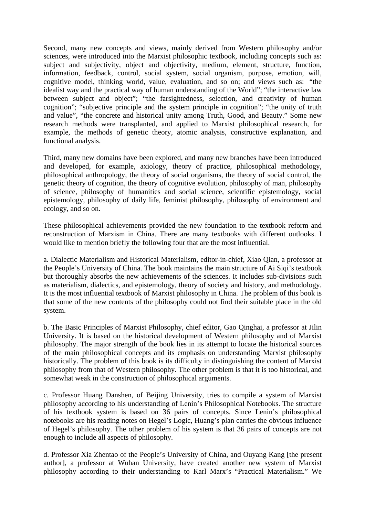Second, many new concepts and views, mainly derived from Western philosophy and/or sciences, were introduced into the Marxist philosophic textbook, including concepts such as: subject and subjectivity, object and objectivity, medium, element, structure, function, information, feedback, control, social system, social organism, purpose, emotion, will, cognitive model, thinking world, value, evaluation, and so on; and views such as: "the idealist way and the practical way of human understanding of the World"; "the interactive law between subject and object"; "the farsightedness, selection, and creativity of human cognition"; "subjective principle and the system principle in cognition"; "the unity of truth and value", "the concrete and historical unity among Truth, Good, and Beauty." Some new research methods were transplanted, and applied to Marxist philosophical research, for example, the methods of genetic theory, atomic analysis, constructive explanation, and functional analysis.

Third, many new domains have been explored, and many new branches have been introduced and developed, for example, axiology, theory of practice, philosophical methodology, philosophical anthropology, the theory of social organisms, the theory of social control, the genetic theory of cognition, the theory of cognitive evolution, philosophy of man, philosophy of science, philosophy of humanities and social science, scientific epistemology, social epistemology, philosophy of daily life, feminist philosophy, philosophy of environment and ecology, and so on.

These philosophical achievements provided the new foundation to the textbook reform and reconstruction of Marxism in China. There are many textbooks with different outlooks. I would like to mention briefly the following four that are the most influential.

a. Dialectic Materialism and Historical Materialism, editor-in-chief, Xiao Qian, a professor at the People's University of China. The book maintains the main structure of Ai Siqi's textbook but thoroughly absorbs the new achievements of the sciences. It includes sub-divisions such as materialism, dialectics, and epistemology, theory of society and history, and methodology. It is the most influential textbook of Marxist philosophy in China. The problem of this book is that some of the new contents of the philosophy could not find their suitable place in the old system.

b. The Basic Principles of Marxist Philosophy, chief editor, Gao Qinghai, a professor at Jilin University. It is based on the historical development of Western philosophy and of Marxist philosophy. The major strength of the book lies in its attempt to locate the historical sources of the main philosophical concepts and its emphasis on understanding Marxist philosophy historically. The problem of this book is its difficulty in distinguishing the content of Marxist philosophy from that of Western philosophy. The other problem is that it is too historical, and somewhat weak in the construction of philosophical arguments.

c. Professor Huang Danshen, of Beijing University, tries to compile a system of Marxist philosophy according to his understanding of Lenin's Philosophical Notebooks. The structure of his textbook system is based on 36 pairs of concepts. Since Lenin's philosophical notebooks are his reading notes on Hegel's Logic, Huang's plan carries the obvious influence of Hegel's philosophy. The other problem of his system is that 36 pairs of concepts are not enough to include all aspects of philosophy.

d. Professor Xia Zhentao of the People's University of China, and Ouyang Kang [the present author], a professor at Wuhan University, have created another new system of Marxist philosophy according to their understanding to Karl Marx's "Practical Materialism." We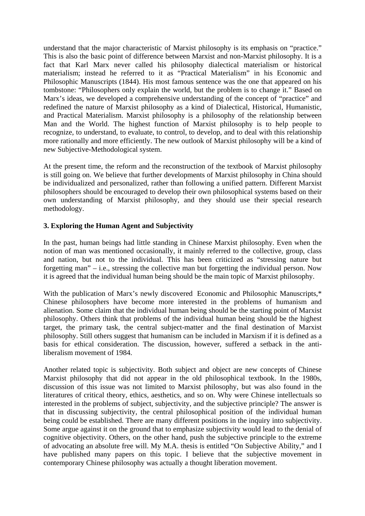understand that the major characteristic of Marxist philosophy is its emphasis on "practice." This is also the basic point of difference between Marxist and non-Marxist philosophy. It is a fact that Karl Marx never called his philosophy dialectical materialism or historical materialism; instead he referred to it as "Practical Materialism" in his Economic and Philosophic Manuscripts (1844). His most famous sentence was the one that appeared on his tombstone: "Philosophers only explain the world, but the problem is to change it." Based on Marx's ideas, we developed a comprehensive understanding of the concept of "practice" and redefined the nature of Marxist philosophy as a kind of Dialectical, Historical, Humanistic, and Practical Materialism. Marxist philosophy is a philosophy of the relationship between Man and the World. The highest function of Marxist philosophy is to help people to recognize, to understand, to evaluate, to control, to develop, and to deal with this relationship more rationally and more efficiently. The new outlook of Marxist philosophy will be a kind of new Subjective-Methodological system.

At the present time, the reform and the reconstruction of the textbook of Marxist philosophy is still going on. We believe that further developments of Marxist philosophy in China should be individualized and personalized, rather than following a unified pattern. Different Marxist philosophers should be encouraged to develop their own philosophical systems based on their own understanding of Marxist philosophy, and they should use their special research methodology.

## **3. Exploring the Human Agent and Subjectivity**

In the past, human beings had little standing in Chinese Marxist philosophy. Even when the notion of man was mentioned occasionally, it mainly referred to the collective, group, class and nation, but not to the individual. This has been criticized as "stressing nature but forgetting man" – i.e., stressing the collective man but forgetting the individual person. Now it is agreed that the individual human being should be the main topic of Marxist philosophy.

With the publication of Marx's newly discovered Economic and Philosophic Manuscripts,\* Chinese philosophers have become more interested in the problems of humanism and alienation. Some claim that the individual human being should be the starting point of Marxist philosophy. Others think that problems of the individual human being should be the highest target, the primary task, the central subject-matter and the final destination of Marxist philosophy. Still others suggest that humanism can be included in Marxism if it is defined as a basis for ethical consideration. The discussion, however, suffered a setback in the antiliberalism movement of 1984.

Another related topic is subjectivity. Both subject and object are new concepts of Chinese Marxist philosophy that did not appear in the old philosophical textbook. In the 1980s, discussion of this issue was not limited to Marxist philosophy, but was also found in the literatures of critical theory, ethics, aesthetics, and so on. Why were Chinese intellectuals so interested in the problems of subject, subjectivity, and the subjective principle? The answer is that in discussing subjectivity, the central philosophical position of the individual human being could be established. There are many different positions in the inquiry into subjectivity. Some argue against it on the ground that to emphasize subjectivity would lead to the denial of cognitive objectivity. Others, on the other hand, push the subjective principle to the extreme of advocating an absolute free will. My M.A. thesis is entitled "On Subjective Ability," and I have published many papers on this topic. I believe that the subjective movement in contemporary Chinese philosophy was actually a thought liberation movement.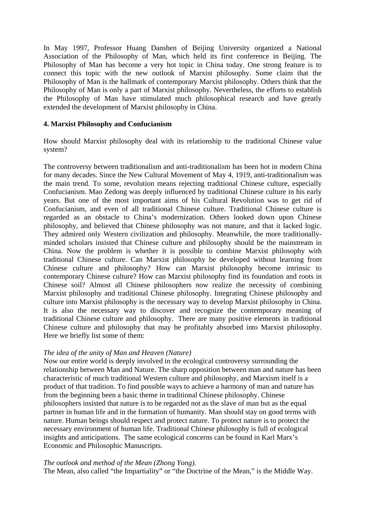In May 1997, Professor Huang Danshen of Beijing University organized a National Association of the Philosophy of Man, which held its first conference in Beijing. The Philosophy of Man has become a very hot topic in China today. One strong feature is to connect this topic with the new outlook of Marxist philosophy. Some claim that the Philosophy of Man is the hallmark of contemporary Marxist philosophy. Others think that the Philosophy of Man is only a part of Marxist philosophy. Nevertheless, the efforts to establish the Philosophy of Man have stimulated much philosophical research and have greatly extended the development of Marxist philosophy in China.

#### **4. Marxist Philosophy and Confucianism**

How should Marxist philosophy deal with its relationship to the traditional Chinese value system?

The controversy between traditionalism and anti-traditionalism has been hot in modern China for many decades. Since the New Cultural Movement of May 4, 1919, anti-traditionalism was the main trend. To some, revolution means rejecting traditional Chinese culture, especially Confucianism. Mao Zedong was deeply influenced by traditional Chinese culture in his early years. But one of the most important aims of his Cultural Revolution was to get rid of Confucianism, and even of all traditional Chinese culture. Traditional Chinese culture is regarded as an obstacle to China's modernization. Others looked down upon Chinese philosophy, and believed that Chinese philosophy was not mature, and that it lacked logic. They admired only Western civilization and philosophy. Meanwhile, the more traditionallyminded scholars insisted that Chinese culture and philosophy should be the mainstream in China. Now the problem is whether it is possible to combine Marxist philosophy with traditional Chinese culture. Can Marxist philosophy be developed without learning from Chinese culture and philosophy? How can Marxist philosophy become intrinsic to contemporary Chinese culture? How can Marxist philosophy find its foundation and roots in Chinese soil? Almost all Chinese philosophers now realize the necessity of combining Marxist philosophy and traditional Chinese philosophy. Integrating Chinese philosophy and culture into Marxist philosophy is the necessary way to develop Marxist philosophy in China. It is also the necessary way to discover and recognize the contemporary meaning of traditional Chinese culture and philosophy. There are many positive elements in traditional Chinese culture and philosophy that may be profitably absorbed into Marxist philosophy. Here we briefly list some of them:

#### *The idea of the unity of Man and Heaven (Nature)*

Now our entire world is deeply involved in the ecological controversy surrounding the relationship between Man and Nature. The sharp opposition between man and nature has been characteristic of much traditional Western culture and philosophy, and Marxism itself is a product of that tradition. To find possible ways to achieve a harmony of man and nature has from the beginning been a basic theme in traditional Chinese philosophy. Chinese philosophers insisted that nature is to be regarded not as the slave of man but as the equal partner in human life and in the formation of humanity. Man should stay on good terms with nature. Human beings should respect and protect nature. To protect nature is to protect the necessary environment of human life. Traditional Chinese philosophy is full of ecological insights and anticipations. The same ecological concerns can be found in Karl Marx's Economic and Philosophic Manuscripts.

## *The outlook and method of the Mean (Zhong Yong).*

The Mean, also called "the Impartiality" or "the Doctrine of the Mean," is the Middle Way.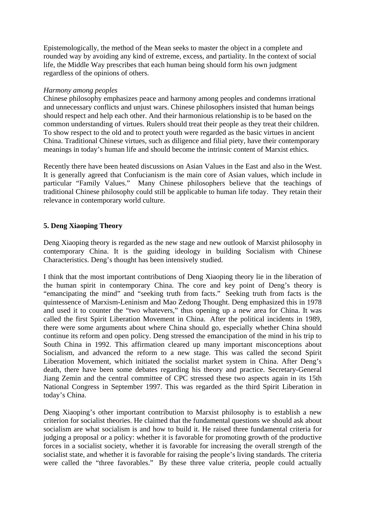Epistemologically, the method of the Mean seeks to master the object in a complete and rounded way by avoiding any kind of extreme, excess, and partiality. In the context of social life, the Middle Way prescribes that each human being should form his own judgment regardless of the opinions of others.

#### *Harmony among peoples*

Chinese philosophy emphasizes peace and harmony among peoples and condemns irrational and unnecessary conflicts and unjust wars. Chinese philosophers insisted that human beings should respect and help each other. And their harmonious relationship is to be based on the common understanding of virtues. Rulers should treat their people as they treat their children. To show respect to the old and to protect youth were regarded as the basic virtues in ancient China. Traditional Chinese virtues, such as diligence and filial piety, have their contemporary meanings in today's human life and should become the intrinsic content of Marxist ethics.

Recently there have been heated discussions on Asian Values in the East and also in the West. It is generally agreed that Confucianism is the main core of Asian values, which include in particular "Family Values." Many Chinese philosophers believe that the teachings of traditional Chinese philosophy could still be applicable to human life today. They retain their relevance in contemporary world culture.

## **5. Deng Xiaoping Theory**

Deng Xiaoping theory is regarded as the new stage and new outlook of Marxist philosophy in contemporary China. It is the guiding ideology in building Socialism with Chinese Characteristics. Deng's thought has been intensively studied.

I think that the most important contributions of Deng Xiaoping theory lie in the liberation of the human spirit in contemporary China. The core and key point of Deng's theory is "emancipating the mind" and "seeking truth from facts." Seeking truth from facts is the quintessence of Marxism-Leninism and Mao Zedong Thought. Deng emphasized this in 1978 and used it to counter the "two whatevers," thus opening up a new area for China. It was called the first Spirit Liberation Movement in China. After the political incidents in 1989, there were some arguments about where China should go, especially whether China should continue its reform and open policy. Deng stressed the emancipation of the mind in his trip to South China in 1992. This affirmation cleared up many important misconceptions about Socialism, and advanced the reform to a new stage. This was called the second Spirit Liberation Movement, which initiated the socialist market system in China. After Deng's death, there have been some debates regarding his theory and practice. Secretary-General Jiang Zemin and the central committee of CPC stressed these two aspects again in its 15th National Congress in September 1997. This was regarded as the third Spirit Liberation in today's China.

Deng Xiaoping's other important contribution to Marxist philosophy is to establish a new criterion for socialist theories. He claimed that the fundamental questions we should ask about socialism are what socialism is and how to build it. He raised three fundamental criteria for judging a proposal or a policy: whether it is favorable for promoting growth of the productive forces in a socialist society, whether it is favorable for increasing the overall strength of the socialist state, and whether it is favorable for raising the people's living standards. The criteria were called the "three favorables." By these three value criteria, people could actually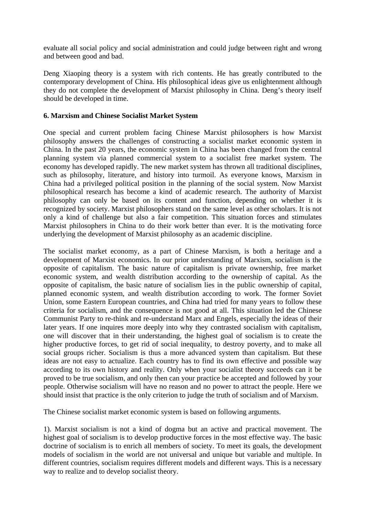evaluate all social policy and social administration and could judge between right and wrong and between good and bad.

Deng Xiaoping theory is a system with rich contents. He has greatly contributed to the contemporary development of China. His philosophical ideas give us enlightenment although they do not complete the development of Marxist philosophy in China. Deng's theory itself should be developed in time.

#### **6. Marxism and Chinese Socialist Market System**

One special and current problem facing Chinese Marxist philosophers is how Marxist philosophy answers the challenges of constructing a socialist market economic system in China. In the past 20 years, the economic system in China has been changed from the central planning system via planned commercial system to a socialist free market system. The economy has developed rapidly. The new market system has thrown all traditional disciplines, such as philosophy, literature, and history into turmoil. As everyone knows, Marxism in China had a privileged political position in the planning of the social system. Now Marxist philosophical research has become a kind of academic research. The authority of Marxist philosophy can only be based on its content and function, depending on whether it is recognized by society. Marxist philosophers stand on the same level as other scholars. It is not only a kind of challenge but also a fair competition. This situation forces and stimulates Marxist philosophers in China to do their work better than ever. It is the motivating force underlying the development of Marxist philosophy as an academic discipline.

The socialist market economy, as a part of Chinese Marxism, is both a heritage and a development of Marxist economics. In our prior understanding of Marxism, socialism is the opposite of capitalism. The basic nature of capitalism is private ownership, free market economic system, and wealth distribution according to the ownership of capital. As the opposite of capitalism, the basic nature of socialism lies in the public ownership of capital, planned economic system, and wealth distribution according to work. The former Soviet Union, some Eastern European countries, and China had tried for many years to follow these criteria for socialism, and the consequence is not good at all. This situation led the Chinese Communist Party to re-think and re-understand Marx and Engels, especially the ideas of their later years. If one inquires more deeply into why they contrasted socialism with capitalism, one will discover that in their understanding, the highest goal of socialism is to create the higher productive forces, to get rid of social inequality, to destroy poverty, and to make all social groups richer. Socialism is thus a more advanced system than capitalism. But these ideas are not easy to actualize. Each country has to find its own effective and possible way according to its own history and reality. Only when your socialist theory succeeds can it be proved to be true socialism, and only then can your practice be accepted and followed by your people. Otherwise socialism will have no reason and no power to attract the people. Here we should insist that practice is the only criterion to judge the truth of socialism and of Marxism.

The Chinese socialist market economic system is based on following arguments.

1). Marxist socialism is not a kind of dogma but an active and practical movement. The highest goal of socialism is to develop productive forces in the most effective way. The basic doctrine of socialism is to enrich all members of society. To meet its goals, the development models of socialism in the world are not universal and unique but variable and multiple. In different countries, socialism requires different models and different ways. This is a necessary way to realize and to develop socialist theory.